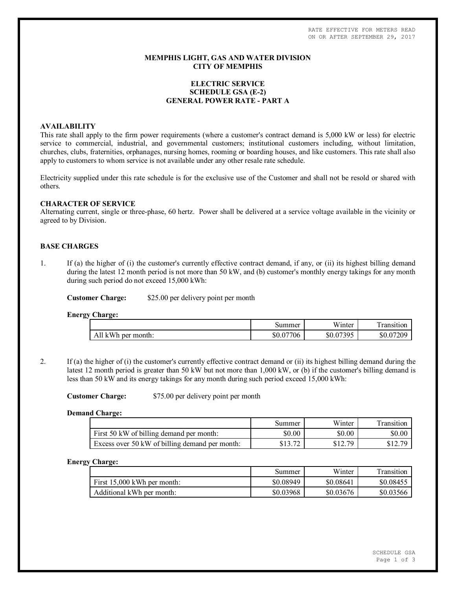RATE EFFECTIVE FOR METERS READ ON OR AFTER SEPTEMBER 29, 2017

## **MEMPHIS LIGHT, GAS AND WATER DIVISION CITY OF MEMPHIS**

# **ELECTRIC SERVICE SCHEDULE GSA (E-2) GENERAL POWER RATE - PART A**

# **AVAILABILITY**

This rate shall apply to the firm power requirements (where a customer's contract demand is 5,000 kW or less) for electric service to commercial, industrial, and governmental customers; institutional customers including, without limitation, churches, clubs, fraternities, orphanages, nursing homes, rooming or boarding houses, and like customers. This rate shall also apply to customers to whom service is not available under any other resale rate schedule.

Electricity supplied under this rate schedule is for the exclusive use of the Customer and shall not be resold or shared with others.

### **CHARACTER OF SERVICE**

Alternating current, single or three-phase, 60 hertz. Power shall be delivered at a service voltage available in the vicinity or agreed to by Division.

# **BASE CHARGES**

1. If (a) the higher of (i) the customer's currently effective contract demand, if any, or (ii) its highest billing demand during the latest 12 month period is not more than 50 kW, and (b) customer's monthly energy takings for any month during such period do not exceed 15,000 kWh:

**Customer Charge:** \$25.00 per delivery point per month

**Energy Charge:**

|                          | Summer    | Winter          | ransition      |
|--------------------------|-----------|-----------------|----------------|
| All<br>kWh<br>per month: | \$0.07706 | .07305<br>\$0.0 | \$0.0<br>07209 |

2. If (a) the higher of (i) the customer's currently effective contract demand or (ii) its highest billing demand during the latest 12 month period is greater than 50 kW but not more than 1,000 kW, or (b) if the customer's billing demand is less than 50 kW and its energy takings for any month during such period exceed 15,000 kWh:

**Customer Charge:** \$75.00 per delivery point per month

#### **Demand Charge:**

|                                                | Summer | Winter  | Transition |
|------------------------------------------------|--------|---------|------------|
| First 50 kW of billing demand per month:       | \$0.00 | \$0.00  | \$0.00     |
| Excess over 50 kW of billing demand per month: |        | \$12.79 | 812 70     |

#### **Energy Charge:**

|                               | Summer    | Winter    | Transition |
|-------------------------------|-----------|-----------|------------|
| First $15,000$ kWh per month: | \$0.08949 | \$0.08641 | \$0.08455  |
| Additional kWh per month:     | \$0.03968 | \$0.03676 | \$0.03566  |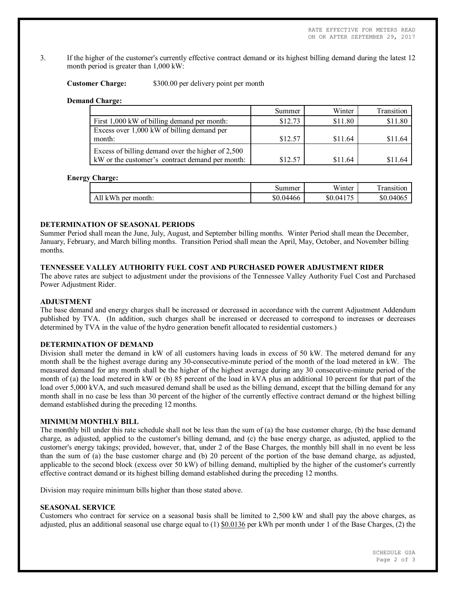3. If the higher of the customer's currently effective contract demand or its highest billing demand during the latest 12 month period is greater than 1,000 kW:

**Customer Charge:** \$300.00 per delivery point per month

### **Demand Charge:**

|                                                   | Summer  | Winter  | Transition |
|---------------------------------------------------|---------|---------|------------|
| First 1,000 kW of billing demand per month:       | \$12.73 | \$11.80 | \$11.80    |
| Excess over 1,000 kW of billing demand per        |         |         |            |
| month:                                            | \$12.57 | \$11.64 | \$11.64    |
| Excess of billing demand over the higher of 2,500 |         |         |            |
| kW or the customer's contract demand per month:   | \$12.57 | \$11.64 | \$11.64    |

### **Energy Charge:**

|                       | Summer    | <b>TTT</b><br>Winter | <u>та</u><br>ransition |
|-----------------------|-----------|----------------------|------------------------|
| All kWh<br>per month: | \$0.04466 | \$0.04175            | \$0.04065              |

# **DETERMINATION OF SEASONAL PERIODS**

Summer Period shall mean the June, July, August, and September billing months. Winter Period shall mean the December, January, February, and March billing months. Transition Period shall mean the April, May, October, and November billing months.

# **TENNESSEE VALLEY AUTHORITY FUEL COST AND PURCHASED POWER ADJUSTMENT RIDER**

The above rates are subject to adjustment under the provisions of the Tennessee Valley Authority Fuel Cost and Purchased Power Adjustment Rider.

### **ADJUSTMENT**

The base demand and energy charges shall be increased or decreased in accordance with the current Adjustment Addendum published by TVA. (In addition, such charges shall be increased or decreased to correspond to increases or decreases determined by TVA in the value of the hydro generation benefit allocated to residential customers.)

# **DETERMINATION OF DEMAND**

Division shall meter the demand in kW of all customers having loads in excess of 50 kW. The metered demand for any month shall be the highest average during any 30-consecutive-minute period of the month of the load metered in kW. The measured demand for any month shall be the higher of the highest average during any 30 consecutive-minute period of the month of (a) the load metered in kW or (b) 85 percent of the load in kVA plus an additional 10 percent for that part of the load over 5,000 kVA, and such measured demand shall be used as the billing demand, except that the billing demand for any month shall in no case be less than 30 percent of the higher of the currently effective contract demand or the highest billing demand established during the preceding 12 months.

### **MINIMUM MONTHLY BILL**

The monthly bill under this rate schedule shall not be less than the sum of (a) the base customer charge, (b) the base demand charge, as adjusted, applied to the customer's billing demand, and (c) the base energy charge, as adjusted, applied to the customer's energy takings; provided, however, that, under 2 of the Base Charges, the monthly bill shall in no event be less than the sum of (a) the base customer charge and (b) 20 percent of the portion of the base demand charge, as adjusted, applicable to the second block (excess over 50 kW) of billing demand, multiplied by the higher of the customer's currently effective contract demand or its highest billing demand established during the preceding 12 months.

Division may require minimum bills higher than those stated above.

# **SEASONAL SERVICE**

Customers who contract for service on a seasonal basis shall be limited to 2,500 kW and shall pay the above charges, as adjusted, plus an additional seasonal use charge equal to  $(1)$  \$0.0136 per kWh per month under 1 of the Base Charges,  $(2)$  the